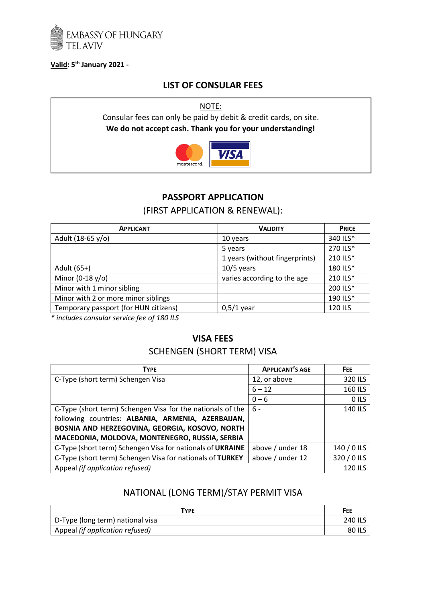

#### **Valid: 5 th January 2021 -**

## **LIST OF CONSULAR FEES**

NOTE: Consular fees can only be paid by debit & credit cards, on site. **We do not accept cash. Thank you for your understanding!**



# **PASSPORT APPLICATION**

## (FIRST APPLICATION & RENEWAL):

| <b>APPLICANT</b>                      | <b>VALIDITY</b>                | <b>PRICE</b> |
|---------------------------------------|--------------------------------|--------------|
| Adult (18-65 y/o)                     | 10 years                       | 340 ILS*     |
|                                       | 5 years                        | 270 ILS*     |
|                                       | 1 years (without fingerprints) | 210 ILS*     |
| Adult (65+)                           | $10/5$ years                   | 180 ILS*     |
| Minor (0-18 $y$ /o)                   | varies according to the age    | 210 ILS*     |
| Minor with 1 minor sibling            |                                | 200 ILS*     |
| Minor with 2 or more minor siblings   |                                | 190 ILS*     |
| Temporary passport (for HUN citizens) | $0,5/1$ year                   | 120 ILS      |

*\* includes consular service fee of 180 ILS*

### **VISA FEES**

# SCHENGEN (SHORT TERM) VISA

| <b>TYPE</b>                                                | <b>APPLICANT'S AGE</b> | FEE.           |
|------------------------------------------------------------|------------------------|----------------|
| C-Type (short term) Schengen Visa                          | 12, or above           | 320 ILS        |
|                                                            | $6 - 12$               | 160 ILS        |
|                                                            | $0 - 6$                | O ILS          |
| C-Type (short term) Schengen Visa for the nationals of the | 6 -                    | 140 ILS        |
| following countries: ALBANIA, ARMENIA, AZERBAIJAN,         |                        |                |
| BOSNIA AND HERZEGOVINA, GEORGIA, KOSOVO, NORTH             |                        |                |
| MACEDONIA, MOLDOVA, MONTENEGRO, RUSSIA, SERBIA             |                        |                |
| C-Type (short term) Schengen Visa for nationals of UKRAINE | above / under 18       | 140 / 0 ILS    |
| C-Type (short term) Schengen Visa for nationals of TURKEY  | above / under 12       | 320 / 0 ILS    |
| Appeal (if application refused)                            |                        | <b>120 ILS</b> |

## NATIONAL (LONG TERM)/STAY PERMIT VISA

| TYPE                             | FEE            |
|----------------------------------|----------------|
| D-Type (long term) national visa | <b>240 ILS</b> |
| Appeal (if application refused)  | 80 ILS         |